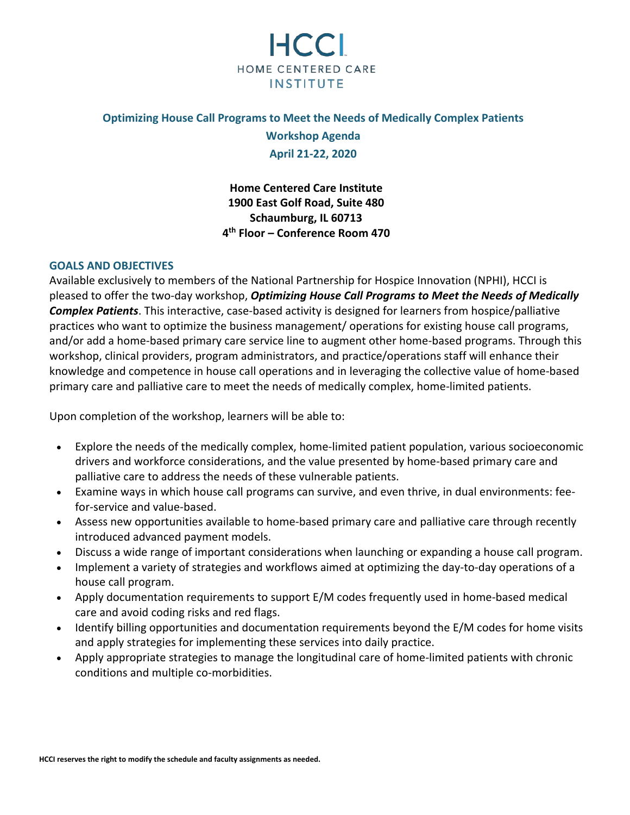

## **Optimizing House Call Programs to Meet the Needs of Medically Complex Patients**

**Workshop Agenda April 21-22, 2020**

**Home Centered Care Institute 1900 East Golf Road, Suite 480 Schaumburg, IL 60713 4th Floor – Conference Room 470**

## **GOALS AND OBJECTIVES**

Available exclusively to members of the National Partnership for Hospice Innovation (NPHI), HCCI is pleased to offer the two-day workshop, *Optimizing House Call Programs to Meet the Needs of Medically Complex Patients*. This interactive, case-based activity is designed for learners from hospice/palliative practices who want to optimize the business management/ operations for existing house call programs, and/or add a home-based primary care service line to augment other home-based programs. Through this workshop, clinical providers, program administrators, and practice/operations staff will enhance their knowledge and competence in house call operations and in leveraging the collective value of home-based primary care and palliative care to meet the needs of medically complex, home-limited patients.

Upon completion of the workshop, learners will be able to:

- Explore the needs of the medically complex, home-limited patient population, various socioeconomic drivers and workforce considerations, and the value presented by home-based primary care and palliative care to address the needs of these vulnerable patients.
- Examine ways in which house call programs can survive, and even thrive, in dual environments: feefor-service and value-based.
- Assess new opportunities available to home-based primary care and palliative care through recently introduced advanced payment models.
- Discuss a wide range of important considerations when launching or expanding a house call program.
- Implement a variety of strategies and workflows aimed at optimizing the day-to-day operations of a house call program.
- Apply documentation requirements to support E/M codes frequently used in home-based medical care and avoid coding risks and red flags.
- Identify billing opportunities and documentation requirements beyond the E/M codes for home visits and apply strategies for implementing these services into daily practice.
- Apply appropriate strategies to manage the longitudinal care of home-limited patients with chronic conditions and multiple co-morbidities.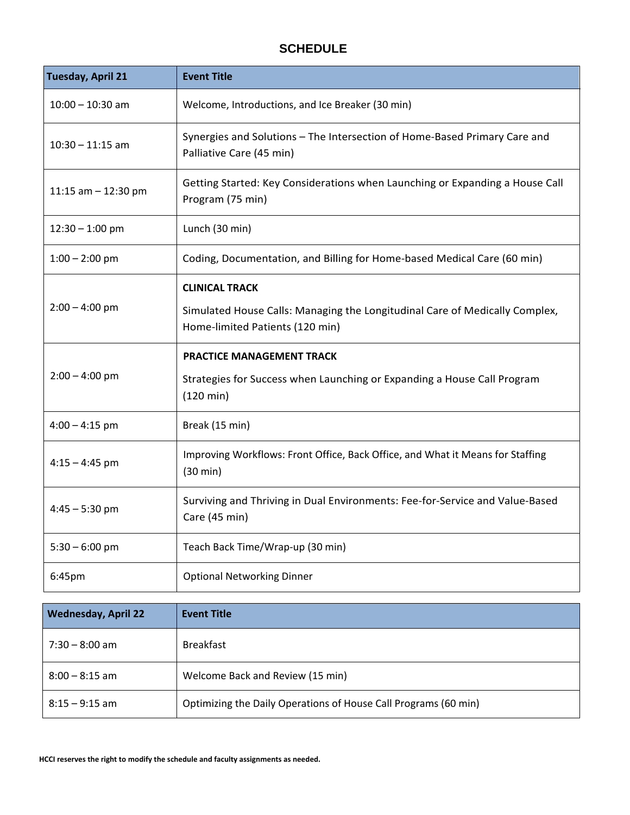## **SCHEDULE**

| <b>Tuesday, April 21</b>   | <b>Event Title</b>                                                                                                                      |
|----------------------------|-----------------------------------------------------------------------------------------------------------------------------------------|
| $10:00 - 10:30$ am         | Welcome, Introductions, and Ice Breaker (30 min)                                                                                        |
| $10:30 - 11:15$ am         | Synergies and Solutions - The Intersection of Home-Based Primary Care and<br>Palliative Care (45 min)                                   |
| 11:15 am $-$ 12:30 pm      | Getting Started: Key Considerations when Launching or Expanding a House Call<br>Program (75 min)                                        |
| $12:30 - 1:00$ pm          | Lunch (30 min)                                                                                                                          |
| $1:00 - 2:00$ pm           | Coding, Documentation, and Billing for Home-based Medical Care (60 min)                                                                 |
| $2:00 - 4:00$ pm           | <b>CLINICAL TRACK</b><br>Simulated House Calls: Managing the Longitudinal Care of Medically Complex,<br>Home-limited Patients (120 min) |
| $2:00 - 4:00$ pm           | <b>PRACTICE MANAGEMENT TRACK</b><br>Strategies for Success when Launching or Expanding a House Call Program<br>$(120 \text{ min})$      |
| $4:00 - 4:15$ pm           | Break (15 min)                                                                                                                          |
| $4:15 - 4:45$ pm           | Improving Workflows: Front Office, Back Office, and What it Means for Staffing<br>(30 min)                                              |
| $4:45 - 5:30$ pm           | Surviving and Thriving in Dual Environments: Fee-for-Service and Value-Based<br>Care (45 min)                                           |
| $5:30 - 6:00$ pm           | Teach Back Time/Wrap-up (30 min)                                                                                                        |
| 6:45pm                     | <b>Optional Networking Dinner</b>                                                                                                       |
| <b>Wednesday, April 22</b> | <b>Event Title</b>                                                                                                                      |
| $7:30 - 8:00$ am           | <b>Breakfast</b>                                                                                                                        |
| $8:00 - 8:15$ am           | Welcome Back and Review (15 min)                                                                                                        |
| $8:15 - 9:15$ am           | Optimizing the Daily Operations of House Call Programs (60 min)                                                                         |